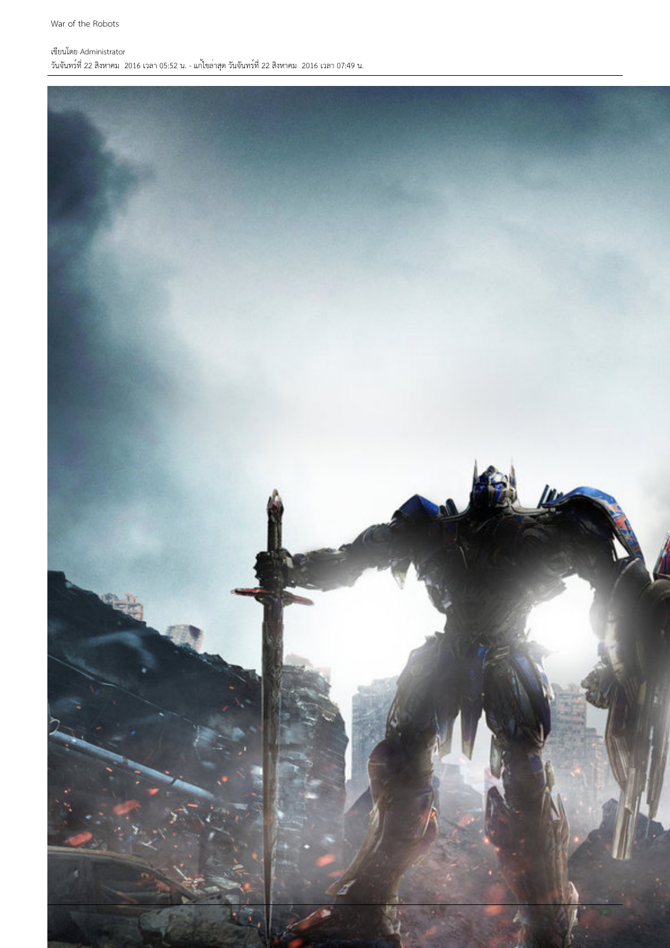## เขียนโดย Administrator

วันจันทร์ที่ 22 สิงหาคม 2016 เวลา 05:52 น. - แก้ไขล่าสุด วันจันทร์ที่ 22 สิงหาคม 2016 เวลา 07:49 น.

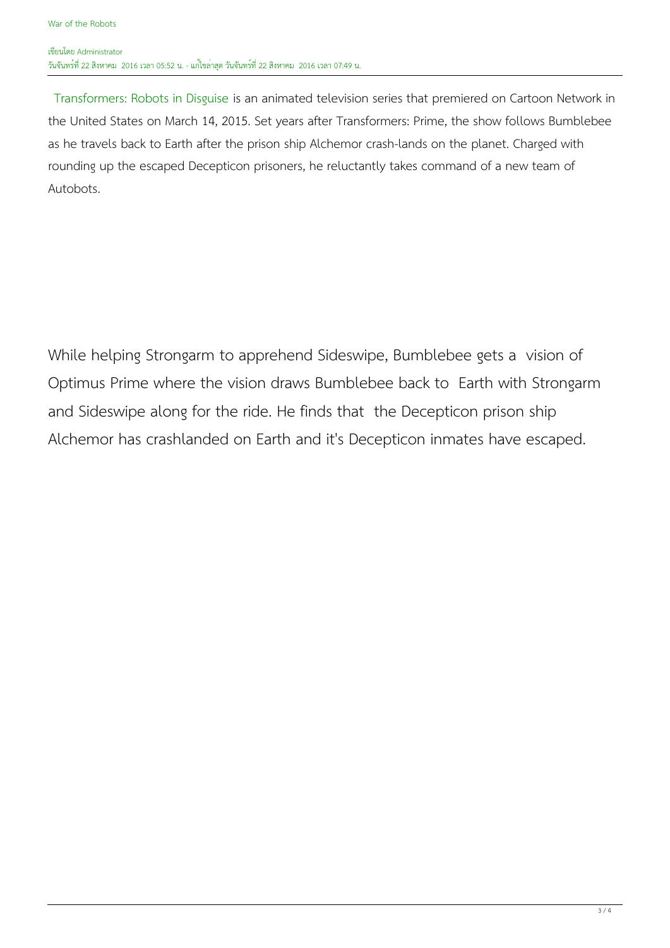Transformers: Robots in Disguise is an animated television series that premiered on Cartoon Network in the United States on March 14, 2015. Set years after Transformers: Prime, the show follows Bumblebee as he travels back to Earth after the prison ship Alchemor crash-lands on the planet. Charged with rounding up the escaped Decepticon prisoners, he reluctantly takes command of a new team of Autobots.

While helping Strongarm to apprehend Sideswipe, Bumblebee gets a vision of Optimus Prime where the vision draws Bumblebee back to Earth with Strongarm and Sideswipe along for the ride. He finds that the Decepticon prison ship Alchemor has crashlanded on Earth and it's Decepticon inmates have escaped.